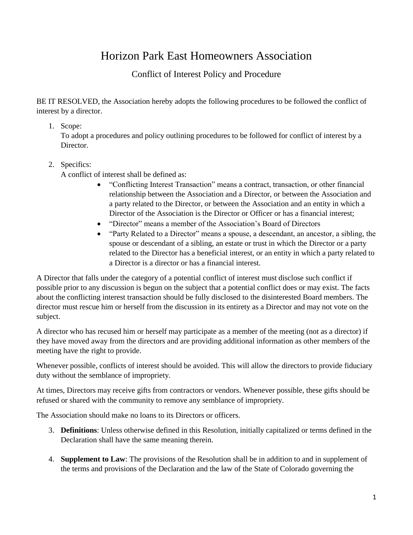## Horizon Park East Homeowners Association

## Conflict of Interest Policy and Procedure

BE IT RESOLVED, the Association hereby adopts the following procedures to be followed the conflict of interest by a director.

## 1. Scope:

To adopt a procedures and policy outlining procedures to be followed for conflict of interest by a Director.

## 2. Specifics:

A conflict of interest shall be defined as:

- "Conflicting Interest Transaction" means a contract, transaction, or other financial relationship between the Association and a Director, or between the Association and a party related to the Director, or between the Association and an entity in which a Director of the Association is the Director or Officer or has a financial interest;
- "Director" means a member of the Association's Board of Directors
- "Party Related to a Director" means a spouse, a descendant, an ancestor, a sibling, the spouse or descendant of a sibling, an estate or trust in which the Director or a party related to the Director has a beneficial interest, or an entity in which a party related to a Director is a director or has a financial interest.

A Director that falls under the category of a potential conflict of interest must disclose such conflict if possible prior to any discussion is begun on the subject that a potential conflict does or may exist. The facts about the conflicting interest transaction should be fully disclosed to the disinterested Board members. The director must rescue him or herself from the discussion in its entirety as a Director and may not vote on the subject.

A director who has recused him or herself may participate as a member of the meeting (not as a director) if they have moved away from the directors and are providing additional information as other members of the meeting have the right to provide.

Whenever possible, conflicts of interest should be avoided. This will allow the directors to provide fiduciary duty without the semblance of impropriety.

At times, Directors may receive gifts from contractors or vendors. Whenever possible, these gifts should be refused or shared with the community to remove any semblance of impropriety.

The Association should make no loans to its Directors or officers.

- 3. **Definitions**: Unless otherwise defined in this Resolution, initially capitalized or terms defined in the Declaration shall have the same meaning therein.
- 4. **Supplement to Law**: The provisions of the Resolution shall be in addition to and in supplement of the terms and provisions of the Declaration and the law of the State of Colorado governing the